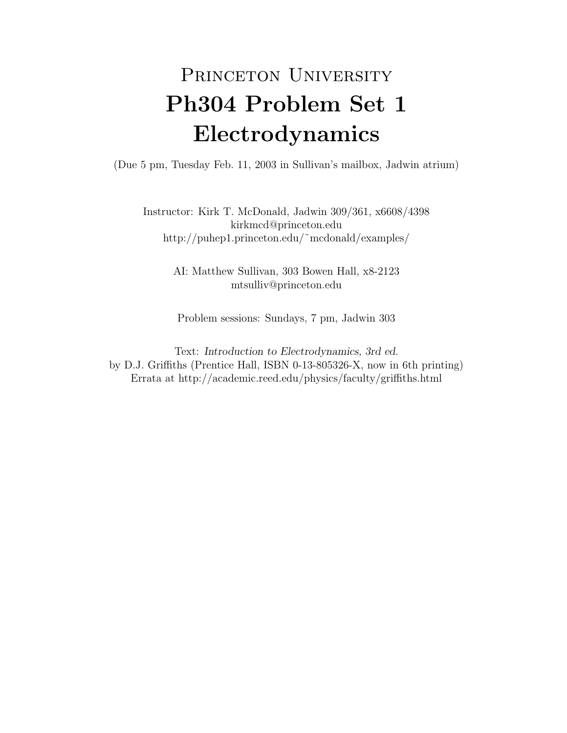## PRINCETON UNIVERSITY Ph304 Problem Set 1 Electrodynamics

(Due 5 pm, Tuesday Feb. 11, 2003 in Sullivan's mailbox, Jadwin atrium)

Instructor: Kirk T. McDonald, Jadwin 309/361, x6608/4398 kirkmcd@princeton.edu http://puhep1.princeton.edu/˜mcdonald/examples/

> AI: Matthew Sullivan, 303 Bowen Hall, x8-2123 mtsulliv@princeton.edu

Problem sessions: Sundays, 7 pm, Jadwin 303

Text: Introduction to Electrodynamics, 3rd ed. by D.J. Griffiths (Prentice Hall, ISBN 0-13-805326-X, now in 6th printing) Errata at http://academic.reed.edu/physics/faculty/griffiths.html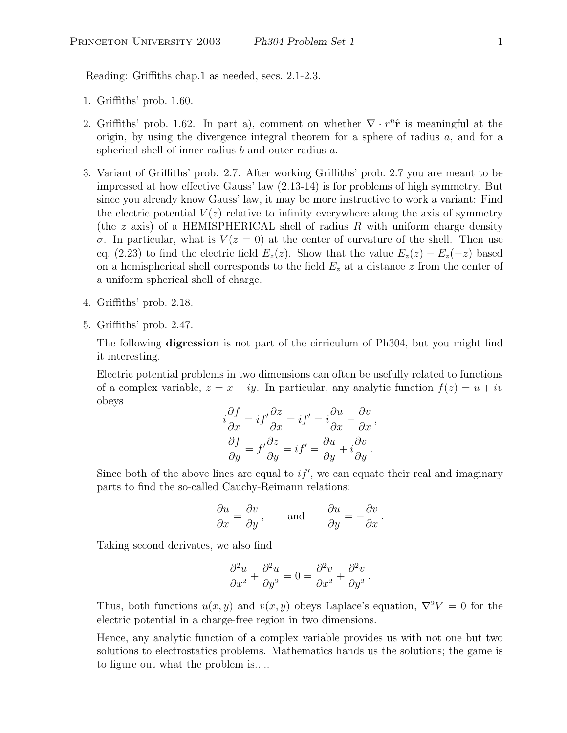Reading: Griffiths chap.1 as needed, secs. 2.1-2.3.

- 1. Griffiths' prob. 1.60.
- 2. Griffiths' prob. 1.62. In part a), comment on whether  $\nabla \cdot r^n \hat{\mathbf{r}}$  is meaningful at the origin, by using the divergence integral theorem for a sphere of radius  $a$ , and for a spherical shell of inner radius  $b$  and outer radius  $a$ .
- 3. Variant of Griffiths' prob. 2.7. After working Griffiths' prob. 2.7 you are meant to be impressed at how effective Gauss' law (2.13-14) is for problems of high symmetry. But since you already know Gauss' law, it may be more instructive to work a variant: Find the electric potential  $V(z)$  relative to infinity everywhere along the axis of symmetry (the z axis) of a HEMISPHERICAL shell of radius R with uniform charge density σ. In particular, what is  $V(z = 0)$  at the center of curvature of the shell. Then use eq. (2.23) to find the electric field  $E_z(z)$ . Show that the value  $E_z(z) - E_z(-z)$  based on a hemispherical shell corresponds to the field  $E<sub>z</sub>$  at a distance z from the center of a uniform spherical shell of charge.
- 4. Griffiths' prob. 2.18.
- 5. Griffiths' prob. 2.47.

The following digression is not part of the cirriculum of Ph304, but you might find it interesting.

Electric potential problems in two dimensions can often be usefully related to functions of a complex variable,  $z = x + iy$ . In particular, any analytic function  $f(z) = u + iv$ obeys

$$
i\frac{\partial f}{\partial x} = if' \frac{\partial z}{\partial x} = if' = i\frac{\partial u}{\partial x} - \frac{\partial v}{\partial x},
$$

$$
\frac{\partial f}{\partial y} = f' \frac{\partial z}{\partial y} = if' = \frac{\partial u}{\partial y} + i\frac{\partial v}{\partial y}.
$$

Since both of the above lines are equal to  $if'$ , we can equate their real and imaginary parts to find the so-called Cauchy-Reimann relations:

$$
\frac{\partial u}{\partial x} = \frac{\partial v}{\partial y}
$$
, and  $\frac{\partial u}{\partial y} = -\frac{\partial v}{\partial x}$ .

Taking second derivates, we also find

$$
\frac{\partial^2 u}{\partial x^2} + \frac{\partial^2 u}{\partial y^2} = 0 = \frac{\partial^2 v}{\partial x^2} + \frac{\partial^2 v}{\partial y^2}.
$$

Thus, both functions  $u(x, y)$  and  $v(x, y)$  obeys Laplace's equation,  $\nabla^2 V = 0$  for the electric potential in a charge-free region in two dimensions.

Hence, any analytic function of a complex variable provides us with not one but two solutions to electrostatics problems. Mathematics hands us the solutions; the game is to figure out what the problem is.....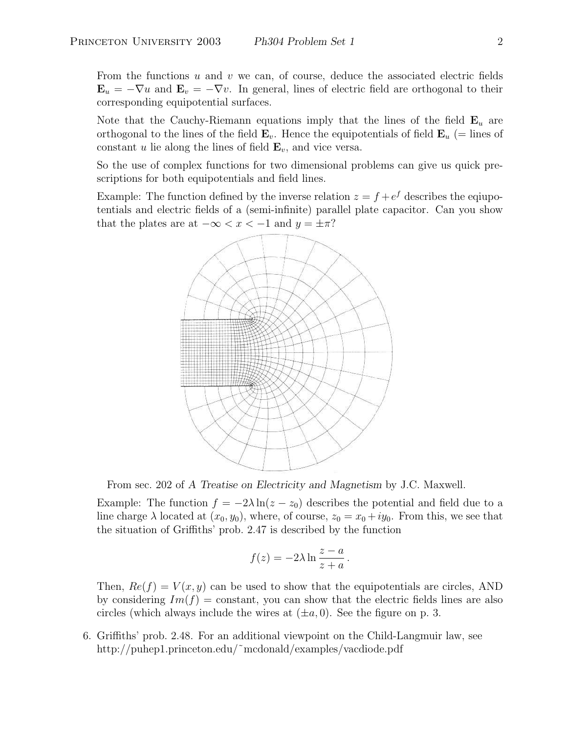From the functions  $u$  and  $v$  we can, of course, deduce the associated electric fields  $\mathbf{E}_u = -\nabla u$  and  $\mathbf{E}_v = -\nabla v$ . In general, lines of electric field are orthogonal to their corresponding equipotential surfaces.

Note that the Cauchy-Riemann equations imply that the lines of the field  $\mathbf{E}_u$  are orthogonal to the lines of the field  $\mathbf{E}_v$ . Hence the equipotentials of field  $\mathbf{E}_u$  (= lines of constant u lie along the lines of field  $\mathbf{E}_v$ , and vice versa.

So the use of complex functions for two dimensional problems can give us quick prescriptions for both equipotentials and field lines.

Example: The function defined by the inverse relation  $z = f + e^f$  describes the equipotentials and electric fields of a (semi-infinite) parallel plate capacitor. Can you show that the plates are at  $-\infty < x < -1$  and  $y = \pm \pi$ ?



From sec. 202 of A Treatise on Electricity and Magnetism by J.C. Maxwell.

Example: The function  $f = -2\lambda \ln(z - z_0)$  describes the potential and field due to a line charge  $\lambda$  located at  $(x_0, y_0)$ , where, of course,  $z_0 = x_0 + iy_0$ . From this, we see that the situation of Griffiths' prob. 2.47 is described by the function

$$
f(z) = -2\lambda \ln \frac{z-a}{z+a}.
$$

Then,  $Re(f) = V(x, y)$  can be used to show that the equipotentials are circles, AND by considering  $Im(f) = \text{constant}$ , you can show that the electric fields lines are also circles (which always include the wires at  $(\pm a, 0)$ . See the figure on p. 3.

6. Griffiths' prob. 2.48. For an additional viewpoint on the Child-Langmuir law, see http://puhep1.princeton.edu/~mcdonald/examples/vacdiode.pdf